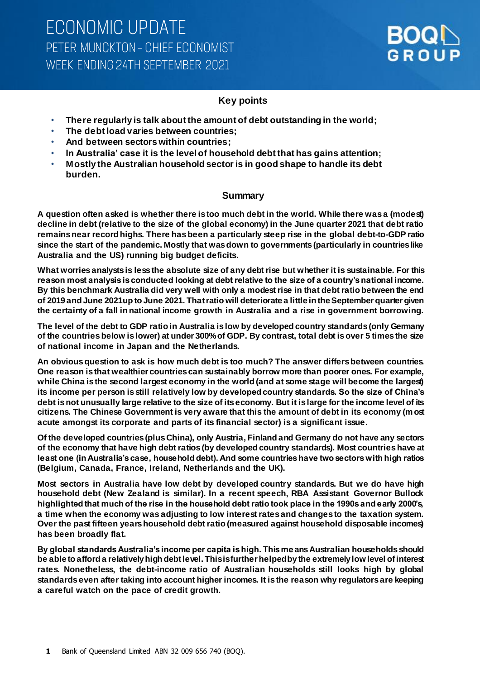

## **Key points**

- **There regularly is talk about the amount of debt outstanding in the world;**
- **The debt load varies between countries;**
- **And between sectors within countries;**
- **In Australia' case it is the level of household debt that has gains attention;**
- **Mostly the Australian household sector is in good shape to handle its debt burden.**

#### **Summary**

**A question often asked is whether there is too much debt in the world. While there was a (modest) decline in debt (relative to the size of the global economy) in the June quarter 2021 that debt ratio remains near record highs. There has been a particularly steep rise in the global debt-to-GDP ratio since the start of the pandemic. Mostly that was down to governments (particularly in countries like Australia and the US) running big budget deficits.** 

**What worries analysts is less the absolute size of any debt rise but whether it is sustainable. For this reason most analysis is conducted looking at debt relative to the size of a country's national income. By this benchmark Australia did very well with only a modest rise in that debt ratio between the end of 2019 and June 2021up to June 2021. That ratio will deteriorate a little in the September quarter given the certainty of a fall in national income growth in Australia and a rise in government borrowing.**

**The level of the debt to GDP ratio in Australia is low by developed country standards (only Germany of the countries below is lower) at under 300% of GDP. By contrast, total debt is over 5 times the size of national income in Japan and the Netherlands.** 

**An obvious question to ask is how much debt is too much? The answer differs between countries. One reason is that wealthier countries can sustainably borrow more than poorer ones. For example, while China is the second largest economy in the world (and at some stage will become the largest) its income per person is still relatively low by developed country standards. So the size of China's debt is not unusually large relative to the size of its economy. But it is large for the income level of its citizens. The Chinese Government is very aware that this the amount of debt in its economy (most acute amongst its corporate and parts of its financial sector) is a significant issue.** 

**Of the developed countries (plus China), only Austria, Finland and Germany do not have any sectors of the economy that have high debt ratios (by developed country standards). Most countries have at least one (in Australia's case, household debt). And some countries have two sectors with high ratios (Belgium, Canada, France, Ireland, Netherlands and the UK).** 

**Most sectors in Australia have low debt by developed country standards. But we do have high household debt (New Zealand is similar). In a recent speech, RBA Assistant Governor Bullock highlighted that much of the rise in the household debt ratio took place in the 1990s and early 2000's, a time when the economy was adjusting to low interest rates and changes to the taxation system. Over the past fifteen years household debt ratio (measured against household disposable incomes) has been broadly flat.** 

**By global standards Australia's income per capita is high. This means Australian households should be able to afford a relatively high debt level. This is further helped by the extremely low level of interest rates. Nonetheless, the debt-income ratio of Australian households still looks high by global standards even after taking into account higher incomes. It is the reason why regulators are keeping a careful watch on the pace of credit growth.**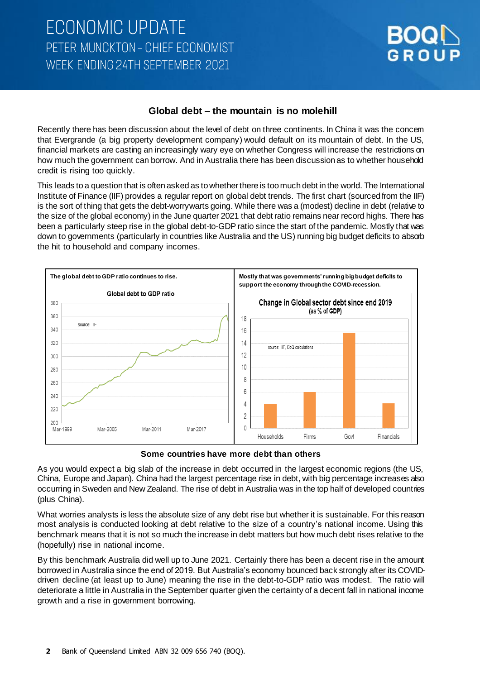## **Global debt – the mountain is no molehill**

Recently there has been discussion about the level of debt on three continents. In China it was the concern that Evergrande (a big property development company) would default on its mountain of debt. In the US, financial markets are casting an increasingly wary eye on whether Congress will increase the restrictions on how much the government can borrow. And in Australia there has been discussion as to whether household credit is rising too quickly.

This leads to a question that is often asked as to whether there is too much debt in the world. The International Institute of Finance (IIF) provides a regular report on global debt trends. The first chart (sourced from the IIF) is the sort of thing that gets the debt-worrywarts going. While there was a (modest) decline in debt (relative to the size of the global economy) in the June quarter 2021 that debt ratio remains near record highs. There has been a particularly steep rise in the global debt-to-GDP ratio since the start of the pandemic. Mostly that was down to governments (particularly in countries like Australia and the US) running big budget deficits to absorb the hit to household and company incomes.



**Some countries have more debt than others**

As you would expect a big slab of the increase in debt occurred in the largest economic regions (the US, China, Europe and Japan). China had the largest percentage rise in debt, with big percentage increases also occurring in Sweden and New Zealand. The rise of debt in Australia was in the top half of developed countries (plus China).

What worries analysts is less the absolute size of any debt rise but whether it is sustainable. For this reason most analysis is conducted looking at debt relative to the size of a country's national income. Using this benchmark means that it is not so much the increase in debt matters but how much debt rises relative to the (hopefully) rise in national income.

By this benchmark Australia did well up to June 2021. Certainly there has been a decent rise in the amount borrowed in Australia since the end of 2019. But Australia's economy bounced back strongly after its COVIDdriven decline (at least up to June) meaning the rise in the debt-to-GDP ratio was modest. The ratio will deteriorate a little in Australia in the September quarter given the certainty of a decent fall in national income growth and a rise in government borrowing.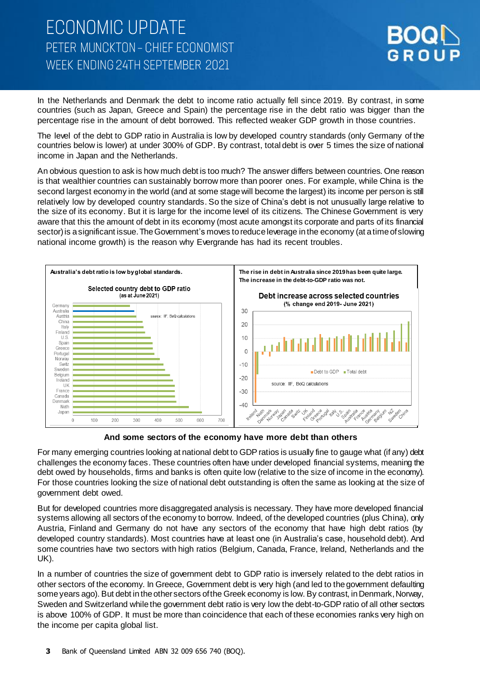

In the Netherlands and Denmark the debt to income ratio actually fell since 2019. By contrast, in some countries (such as Japan, Greece and Spain) the percentage rise in the debt ratio was bigger than the percentage rise in the amount of debt borrowed. This reflected weaker GDP growth in those countries.

The level of the debt to GDP ratio in Australia is low by developed country standards (only Germany of the countries below is lower) at under 300% of GDP. By contrast, total debt is over 5 times the size of national income in Japan and the Netherlands.

An obvious question to ask is how much debt is too much? The answer differs between countries. One reason is that wealthier countries can sustainably borrow more than poorer ones. For example, while China is the second largest economy in the world (and at some stage will become the largest) its income per person is still relatively low by developed country standards. So the size of China's debt is not unusually large relative to the size of its economy. But it is large for the income level of its citizens. The Chinese Government is very aware that this the amount of debt in its economy (most acute amongst its corporate and parts of its financial sector) is a significant issue. The Government's moves to reduce leverage in the economy (at a time of slowing national income growth) is the reason why Evergrande has had its recent troubles.



**And some sectors of the economy have more debt than others**

For many emerging countries looking at national debt to GDP ratios is usually fine to gauge what (if any) debt challenges the economy faces. These countries often have under developed financial systems, meaning the debt owed by households, firms and banks is often quite low (relative to the size of income in the economy). For those countries looking the size of national debt outstanding is often the same as looking at the size of government debt owed.

But for developed countries more disaggregated analysis is necessary. They have more developed financial systems allowing all sectors of the economy to borrow. Indeed, of the developed countries (plus China), only Austria, Finland and Germany do not have any sectors of the economy that have high debt ratios (by developed country standards). Most countries have at least one (in Australia's case, household debt). And some countries have two sectors with high ratios (Belgium, Canada, France, Ireland, Netherlands and the UK).

In a number of countries the size of government debt to GDP ratio is inversely related to the debt ratios in other sectors of the economy. In Greece, Government debt is very high (and led to the government defaulting some years ago). But debt in the other sectors of the Greek economy is low. By contrast, in Denmark, Norway, Sweden and Switzerland while the government debt ratio is very low the debt-to-GDP ratio of all other sectors is above 100% of GDP. It must be more than coincidence that each of these economies ranks very high on the income per capita global list.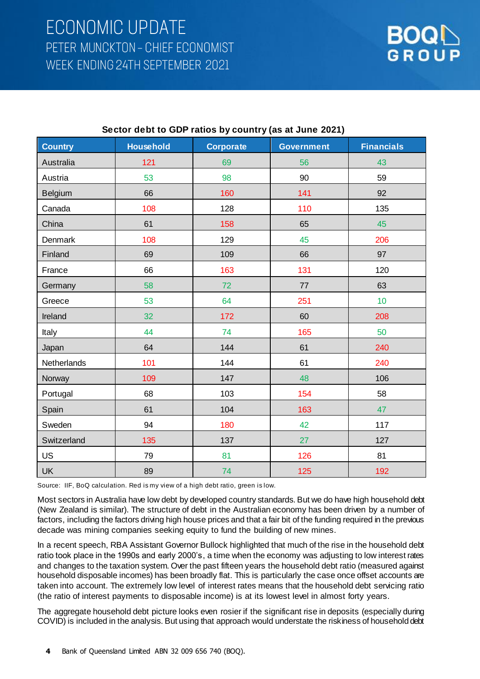

| <b>Country</b> | <b>Household</b> | <b>Corporate</b> | <b>Government</b> | <b>Financials</b> |
|----------------|------------------|------------------|-------------------|-------------------|
| Australia      | 121              | 69               | 56                | 43                |
| Austria        | 53               | 98               | 90                | 59                |
| <b>Belgium</b> | 66               | 160              | 141               | 92                |
| Canada         | 108              | 128              | 110               | 135               |
| China          | 61               | 158              | 65                | 45                |
| Denmark        | 108              | 129              | 45                | 206               |
| Finland        | 69               | 109              | 66                | 97                |
| France         | 66               | 163              | 131               | 120               |
| Germany        | 58               | 72               | 77                | 63                |
| Greece         | 53               | 64               | 251               | 10                |
| Ireland        | 32               | 172              | 60                | 208               |
| Italy          | 44               | 74               | 165               | 50                |
| Japan          | 64               | 144              | 61                | 240               |
| Netherlands    | 101              | 144              | 61                | 240               |
| Norway         | 109              | 147              | 48                | 106               |
| Portugal       | 68               | 103              | 154               | 58                |
| Spain          | 61               | 104              | 163               | 47                |
| Sweden         | 94               | 180              | 42                | 117               |
| Switzerland    | 135              | 137              | 27                | 127               |
| <b>US</b>      | 79               | 81               | 126               | 81                |
| <b>UK</b>      | 89               | 74               | 125               | 192               |

### **Sector debt to GDP ratios by country (as at June 2021)**

Source: IIF, BoQ calculation. Red is my view of a high debt ratio, green is low.

Most sectors in Australia have low debt by developed country standards. But we do have high household debt (New Zealand is similar). The structure of debt in the Australian economy has been driven by a number of factors, including the factors driving high house prices and that a fair bit of the funding required in the previous decade was mining companies seeking equity to fund the building of new mines.

In a recent speech, RBA Assistant Governor Bullock highlighted that much of the rise in the household debt ratio took place in the 1990s and early 2000's, a time when the economy was adjusting to low interest rates and changes to the taxation system. Over the past fifteen years the household debt ratio (measured against household disposable incomes) has been broadly flat. This is particularly the case once offset accounts are taken into account. The extremely low level of interest rates means that the household debt servicing ratio (the ratio of interest payments to disposable income) is at its lowest level in almost forty years.

The aggregate household debt picture looks even rosier if the significant rise in deposits (especially during COVID) is included in the analysis. But using that approach would understate the riskiness of household debt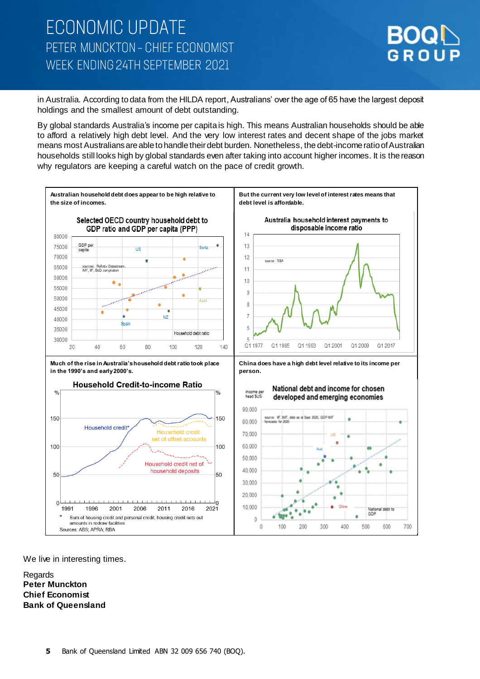

in Australia. According to data from the HILDA report, Australians' over the age of 65 have the largest deposit holdings and the smallest amount of debt outstanding.

By global standards Australia's income per capita is high. This means Australian households should be able to afford a relatively high debt level. And the very low interest rates and decent shape of the jobs market means most Australians are able to handle their debt burden. Nonetheless, the debt-income ratio of Australian households still looks high by global standards even after taking into account higher incomes. It is the reason why regulators are keeping a careful watch on the pace of credit growth.



We live in interesting times.

Regards **Peter Munckton Chief Economist Bank of Queensland**